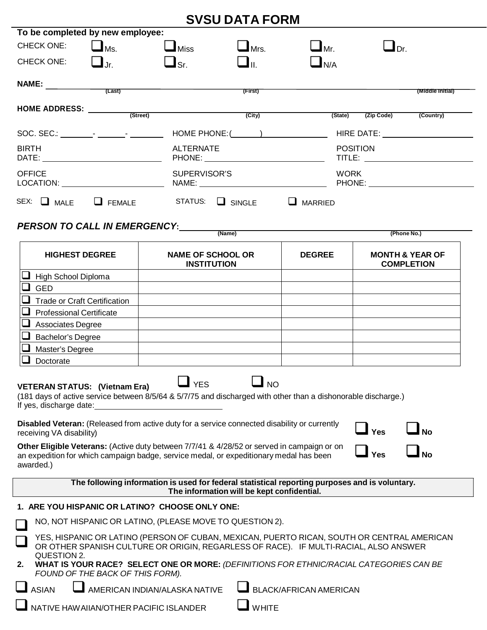|                                                                                                                                                                                                                                                 |                                  |                                                                                                                                                                                                                                                                                                    | <b>SVSU DATA FORM</b>                      |                                                                                                                                                                                                                                                                               |                                                 |                  |
|-------------------------------------------------------------------------------------------------------------------------------------------------------------------------------------------------------------------------------------------------|----------------------------------|----------------------------------------------------------------------------------------------------------------------------------------------------------------------------------------------------------------------------------------------------------------------------------------------------|--------------------------------------------|-------------------------------------------------------------------------------------------------------------------------------------------------------------------------------------------------------------------------------------------------------------------------------|-------------------------------------------------|------------------|
| To be completed by new employee:                                                                                                                                                                                                                |                                  |                                                                                                                                                                                                                                                                                                    |                                            |                                                                                                                                                                                                                                                                               |                                                 |                  |
| <b>CHECK ONE:</b>                                                                                                                                                                                                                               | $\Box$ Ms.                       | $\square$ Miss                                                                                                                                                                                                                                                                                     | $\Box$ Mrs.                                | $\mathbf{\mathbf{\bot}}$ Mr.                                                                                                                                                                                                                                                  | $\Box$ Dr.                                      |                  |
| <b>CHECK ONE:</b>                                                                                                                                                                                                                               | $\Box$                           | $\mathbf{\mathbf{\mathsf{J}}}$ sr.                                                                                                                                                                                                                                                                 | ⊒п.                                        | $\blacksquare$ N/A                                                                                                                                                                                                                                                            |                                                 |                  |
| $\begin{array}{c}\nNAME: \qquad \qquad \text{(Last)}\n\end{array}$                                                                                                                                                                              |                                  |                                                                                                                                                                                                                                                                                                    |                                            |                                                                                                                                                                                                                                                                               |                                                 |                  |
|                                                                                                                                                                                                                                                 |                                  |                                                                                                                                                                                                                                                                                                    | (First)                                    |                                                                                                                                                                                                                                                                               |                                                 | (Middle Initial) |
|                                                                                                                                                                                                                                                 |                                  | HOME ADDRESS: (Street)                                                                                                                                                                                                                                                                             | (City)                                     | (State)                                                                                                                                                                                                                                                                       | (Zip Code)                                      | (Country)        |
|                                                                                                                                                                                                                                                 |                                  |                                                                                                                                                                                                                                                                                                    |                                            |                                                                                                                                                                                                                                                                               |                                                 |                  |
|                                                                                                                                                                                                                                                 |                                  |                                                                                                                                                                                                                                                                                                    |                                            |                                                                                                                                                                                                                                                                               |                                                 |                  |
| <b>BIRTH</b>                                                                                                                                                                                                                                    |                                  | <b>ALTERNATE</b>                                                                                                                                                                                                                                                                                   |                                            | <b>POSITION</b>                                                                                                                                                                                                                                                               |                                                 |                  |
| <b>OFFICE</b><br>LOCATION: Network and the state of the state of the state of the state of the state of the state of the state of the state of the state of the state of the state of the state of the state of the state of the state of the s |                                  | SUPERVISOR'S                                                                                                                                                                                                                                                                                       |                                            | <b>WORK</b>                                                                                                                                                                                                                                                                   |                                                 |                  |
| SEX: MALE FEMALE                                                                                                                                                                                                                                |                                  |                                                                                                                                                                                                                                                                                                    | STATUS: SINGLE                             | $\Box$ MARRIED                                                                                                                                                                                                                                                                |                                                 |                  |
|                                                                                                                                                                                                                                                 |                                  | <b>PERSON TO CALL IN EMERGENCY:</b>                                                                                                                                                                                                                                                                |                                            |                                                                                                                                                                                                                                                                               |                                                 |                  |
|                                                                                                                                                                                                                                                 |                                  |                                                                                                                                                                                                                                                                                                    | (Name)                                     |                                                                                                                                                                                                                                                                               | (Phone No.)                                     |                  |
| <b>HIGHEST DEGREE</b>                                                                                                                                                                                                                           |                                  | <b>NAME OF SCHOOL OR</b><br><b>INSTITUTION</b>                                                                                                                                                                                                                                                     |                                            | <b>DEGREE</b>                                                                                                                                                                                                                                                                 | <b>MONTH &amp; YEAR OF</b><br><b>COMPLETION</b> |                  |
| High School Diploma                                                                                                                                                                                                                             |                                  |                                                                                                                                                                                                                                                                                                    |                                            |                                                                                                                                                                                                                                                                               |                                                 |                  |
| <b>GED</b>                                                                                                                                                                                                                                      |                                  |                                                                                                                                                                                                                                                                                                    |                                            |                                                                                                                                                                                                                                                                               |                                                 |                  |
| <b>Trade or Craft Certification</b>                                                                                                                                                                                                             |                                  |                                                                                                                                                                                                                                                                                                    |                                            |                                                                                                                                                                                                                                                                               |                                                 |                  |
| <b>Professional Certificate</b>                                                                                                                                                                                                                 |                                  |                                                                                                                                                                                                                                                                                                    |                                            |                                                                                                                                                                                                                                                                               |                                                 |                  |
| Associates Degree                                                                                                                                                                                                                               |                                  |                                                                                                                                                                                                                                                                                                    |                                            |                                                                                                                                                                                                                                                                               |                                                 |                  |
| Bachelor's Degree                                                                                                                                                                                                                               |                                  |                                                                                                                                                                                                                                                                                                    |                                            |                                                                                                                                                                                                                                                                               |                                                 |                  |
| Master's Degree                                                                                                                                                                                                                                 |                                  |                                                                                                                                                                                                                                                                                                    |                                            |                                                                                                                                                                                                                                                                               |                                                 |                  |
| Doctorate                                                                                                                                                                                                                                       |                                  |                                                                                                                                                                                                                                                                                                    |                                            |                                                                                                                                                                                                                                                                               |                                                 |                  |
| <b>VETERAN STATUS: (Vietnam Era)</b><br>If yes, discharge date:<br>receiving VA disability)<br>awarded.)                                                                                                                                        |                                  | <b>YES</b><br>Disabled Veteran: (Released from active duty for a service connected disability or currently<br>Other Eligible Veterans: (Active duty between 7/7/41 & 4/28/52 or served in campaign or on<br>an expedition for which campaign badge, service medal, or expeditionary medal has been | <b>NO</b>                                  | (181 days of active service between 8/5/64 & 5/7/75 and discharged with other than a dishonorable discharge.)                                                                                                                                                                 | Yes<br><b>Yes</b>                               |                  |
|                                                                                                                                                                                                                                                 |                                  |                                                                                                                                                                                                                                                                                                    | The information will be kept confidential. | The following information is used for federal statistical reporting purposes and is voluntary.                                                                                                                                                                                |                                                 |                  |
|                                                                                                                                                                                                                                                 |                                  | 1. ARE YOU HISPANIC OR LATINO? CHOOSE ONLY ONE:                                                                                                                                                                                                                                                    |                                            |                                                                                                                                                                                                                                                                               |                                                 |                  |
|                                                                                                                                                                                                                                                 |                                  | NO, NOT HISPANIC OR LATINO, (PLEASE MOVE TO QUESTION 2).                                                                                                                                                                                                                                           |                                            |                                                                                                                                                                                                                                                                               |                                                 |                  |
| QUESTION 2.<br>2.                                                                                                                                                                                                                               |                                  |                                                                                                                                                                                                                                                                                                    |                                            | YES, HISPANIC OR LATINO (PERSON OF CUBAN, MEXICAN, PUERTO RICAN, SOUTH OR CENTRAL AMERICAN<br>OR OTHER SPANISH CULTURE OR ORIGIN, REGARLESS OF RACE). IF MULTI-RACIAL, ALSO ANSWER<br>WHAT IS YOUR RACE? SELECT ONE OR MORE: (DEFINITIONS FOR ETHNIC/RACIAL CATEGORIES CAN BE |                                                 |                  |
|                                                                                                                                                                                                                                                 | FOUND OF THE BACK OF THIS FORM). |                                                                                                                                                                                                                                                                                                    |                                            |                                                                                                                                                                                                                                                                               |                                                 |                  |
| <b>ASIAN</b>                                                                                                                                                                                                                                    |                                  | AMERICAN INDIAN/ALASKA NATIVE                                                                                                                                                                                                                                                                      |                                            | <b>BLACK/AFRICAN AMERICAN</b>                                                                                                                                                                                                                                                 |                                                 |                  |
|                                                                                                                                                                                                                                                 |                                  | NATIVE HAW AIIAN/OTHER PACIFIC ISLANDER                                                                                                                                                                                                                                                            | <b>WHITE</b>                               |                                                                                                                                                                                                                                                                               |                                                 |                  |